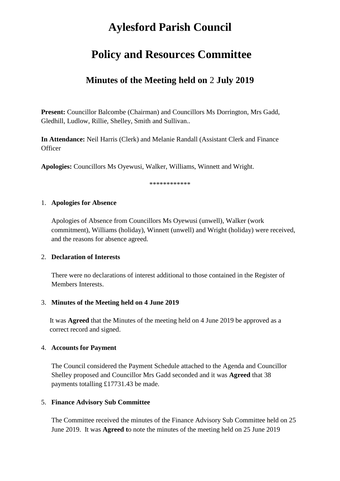# **Aylesford Parish Council**

# **Policy and Resources Committee**

# **Minutes of the Meeting held on** 2 **July 2019**

**Present:** Councillor Balcombe (Chairman) and Councillors Ms Dorrington, Mrs Gadd, Gledhill, Ludlow, Rillie, Shelley, Smith and Sullivan..

**In Attendance:** Neil Harris (Clerk) and Melanie Randall (Assistant Clerk and Finance **Officer** 

**Apologies:** Councillors Ms Oyewusi, Walker, Williams, Winnett and Wright.

\*\*\*\*\*\*\*\*\*\*\*\*

#### 1. **Apologies for Absence**

Apologies of Absence from Councillors Ms Oyewusi (unwell), Walker (work commitment), Williams (holiday), Winnett (unwell) and Wright (holiday) were received, and the reasons for absence agreed.

#### 2. **Declaration of Interests**

There were no declarations of interest additional to those contained in the Register of Members Interests.

# 3. **Minutes of the Meeting held on 4 June 2019**

It was **Agreed** that the Minutes of the meeting held on 4 June 2019 be approved as a correct record and signed.

# 4. **Accounts for Payment**

The Council considered the Payment Schedule attached to the Agenda and Councillor Shelley proposed and Councillor Mrs Gadd seconded and it was **Agreed** that 38 payments totalling £17731.43 be made.

# 5. **Finance Advisory Sub Committee**

The Committee received the minutes of the Finance Advisory Sub Committee held on 25 June 2019. It was **Agreed t**o note the minutes of the meeting held on 25 June 2019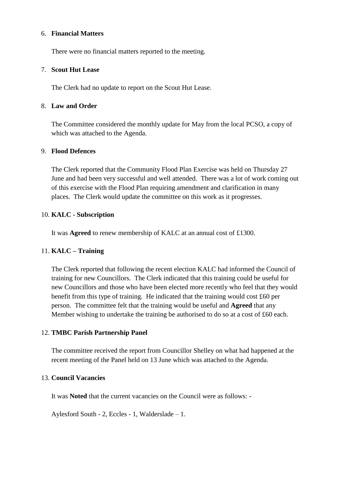#### 6. **Financial Matters**

There were no financial matters reported to the meeting.

#### 7. **Scout Hut Lease**

The Clerk had no update to report on the Scout Hut Lease.

#### 8. **Law and Order**

The Committee considered the monthly update for May from the local PCSO, a copy of which was attached to the Agenda.

#### 9. **Flood Defences**

The Clerk reported that the Community Flood Plan Exercise was held on Thursday 27 June and had been very successful and well attended. There was a lot of work coming out of this exercise with the Flood Plan requiring amendment and clarification in many places. The Clerk would update the committee on this work as it progresses.

# 10. **KALC - Subscription**

It was **Agreed** to renew membership of KALC at an annual cost of £1300.

# 11. **KALC – Training**

The Clerk reported that following the recent election KALC had informed the Council of training for new Councillors. The Clerk indicated that this training could be useful for new Councillors and those who have been elected more recently who feel that they would benefit from this type of training. He indicated that the training would cost £60 per person. The committee felt that the training would be useful and **Agreed** that any Member wishing to undertake the training be authorised to do so at a cost of £60 each.

# 12. **TMBC Parish Partnership Panel**

The committee received the report from Councillor Shelley on what had happened at the recent meeting of the Panel held on 13 June which was attached to the Agenda.

#### 13. **Council Vacancies**

It was **Noted** that the current vacancies on the Council were as follows: -

Aylesford South - 2, Eccles - 1, Walderslade – 1.